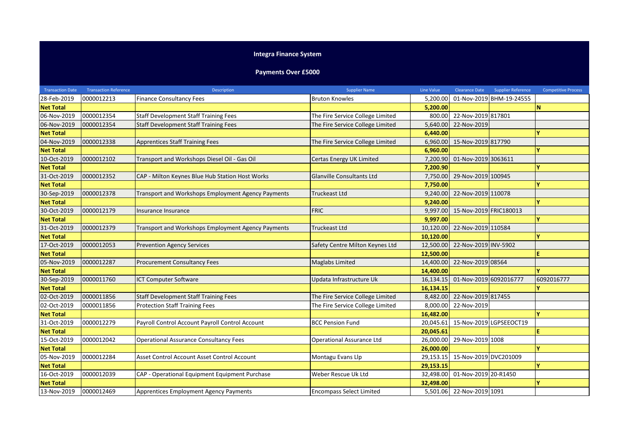## **Integra Finance System**

## **Payments Over £5000**

| <b>Transaction Date</b> | <b>Transaction Reference</b> | <b>Description</b>                                 | <b>Supplier Name</b>             | Line Value | <b>Clearance Date</b>  | <b>Supplier Reference</b> | <b>Competitive Process</b> |
|-------------------------|------------------------------|----------------------------------------------------|----------------------------------|------------|------------------------|---------------------------|----------------------------|
| 28-Feb-2019             | 0000012213                   | <b>Finance Consultancy Fees</b>                    | <b>Bruton Knowles</b>            | 5,200.00   |                        | 01-Nov-2019 BHM-19-24555  |                            |
| <b>Net Total</b>        |                              |                                                    |                                  | 5,200.00   |                        |                           | N                          |
| 06-Nov-2019             | 0000012354                   | <b>Staff Development Staff Training Fees</b>       | The Fire Service College Limited | 800.00     | 22-Nov-2019 817801     |                           |                            |
| 06-Nov-2019             | 0000012354                   | <b>Staff Development Staff Training Fees</b>       | The Fire Service College Limited | 5,640.00   | 22-Nov-2019            |                           |                            |
| <b>Net Total</b>        |                              |                                                    |                                  | 6,440.00   |                        |                           |                            |
| 04-Nov-2019             | 0000012338                   | <b>Apprentices Staff Training Fees</b>             | The Fire Service College Limited | 6,960.00   | 15-Nov-2019 817790     |                           |                            |
| <b>Net Total</b>        |                              |                                                    |                                  | 6,960.00   |                        |                           |                            |
| 10-Oct-2019             | 0000012102                   | Transport and Workshops Diesel Oil - Gas Oil       | Certas Energy UK Limited         | 7,200.90   | 01-Nov-2019 3063611    |                           |                            |
| <b>Net Total</b>        |                              |                                                    |                                  | 7,200.90   |                        |                           |                            |
| 31-Oct-2019             | 0000012352                   | CAP - Milton Keynes Blue Hub Station Host Works    | <b>Glanville Consultants Ltd</b> | 7,750.00   | 29-Nov-2019 100945     |                           |                            |
| <b>Net Total</b>        |                              |                                                    |                                  | 7,750.00   |                        |                           |                            |
| 30-Sep-2019             | 0000012378                   | Transport and Workshops Employment Agency Payments | <b>Truckeast Ltd</b>             | 9,240.00   | 22-Nov-2019 110078     |                           |                            |
| <b>Net Total</b>        |                              |                                                    |                                  | 9,240.00   |                        |                           |                            |
| 30-Oct-2019             | 0000012179                   | Insurance Insurance                                | <b>FRIC</b>                      | 9.997.00   | 15-Nov-2019 FRIC180013 |                           |                            |
| <b>Net Total</b>        |                              |                                                    |                                  | 9,997.00   |                        |                           | ٧                          |
| 31-Oct-2019             | 0000012379                   | Transport and Workshops Employment Agency Payments | <b>Truckeast Ltd</b>             | 10,120.00  | 22-Nov-2019 110584     |                           |                            |
| <b>Net Total</b>        |                              |                                                    |                                  | 10,120.00  |                        |                           |                            |
| 17-Oct-2019             | 0000012053                   | <b>Prevention Agency Services</b>                  | Safety Centre Milton Keynes Ltd  | 12,500.00  | 22-Nov-2019 INV-5902   |                           |                            |
| <b>Net Total</b>        |                              |                                                    |                                  | 12,500.00  |                        |                           | Ë                          |
| 05-Nov-2019             | 0000012287                   | <b>Procurement Consultancy Fees</b>                | <b>Maglabs Limited</b>           | 14,400.00  | 22-Nov-2019 08564      |                           |                            |
| <b>Net Total</b>        |                              |                                                    |                                  | 14,400.00  |                        |                           |                            |
| 30-Sep-2019             | 0000011760                   | ICT Computer Software                              | Updata Infrastructure Uk         | 16,134.15  | 01-Nov-2019 6092016777 |                           | 6092016777                 |
| <b>Net Total</b>        |                              |                                                    |                                  | 16,134.15  |                        |                           |                            |
| 02-Oct-2019             | 0000011856                   | <b>Staff Development Staff Training Fees</b>       | The Fire Service College Limited | 8,482.00   | 22-Nov-2019 817455     |                           |                            |
| 02-Oct-2019             | 0000011856                   | <b>Protection Staff Training Fees</b>              | The Fire Service College Limited | 8,000.00   | 22-Nov-2019            |                           |                            |
| <b>Net Total</b>        |                              |                                                    |                                  | 16,482.00  |                        |                           | v                          |
| 31-Oct-2019             | 0000012279                   | Payroll Control Account Payroll Control Account    | <b>BCC Pension Fund</b>          | 20,045.61  |                        | 15-Nov-2019 LGPSEEOCT19   |                            |
| <b>Net Total</b>        |                              |                                                    |                                  | 20,045.61  |                        |                           | Ë                          |
| 15-Oct-2019             | 0000012042                   | <b>Operational Assurance Consultancy Fees</b>      | <b>Operational Assurance Ltd</b> | 26,000.00  | 29-Nov-2019 1008       |                           |                            |
| <b>Net Total</b>        |                              |                                                    |                                  | 26,000.00  |                        |                           |                            |
| 05-Nov-2019             | 0000012284                   | Asset Control Account Asset Control Account        | Montagu Evans Llp                | 29,153.15  | 15-Nov-2019 DVC201009  |                           |                            |
| <b>Net Total</b>        |                              |                                                    |                                  | 29,153.15  |                        |                           | v                          |
| 16-Oct-2019             | 0000012039                   | CAP - Operational Equipment Equipment Purchase     | Weber Rescue Uk Ltd              | 32,498.00  | 01-Nov-2019 20-R1450   |                           |                            |
| <b>Net Total</b>        |                              |                                                    |                                  | 32,498.00  |                        |                           | v                          |
| 13-Nov-2019             | 0000012469                   | Apprentices Employment Agency Payments             | <b>Encompass Select Limited</b>  | 5,501.06   | 22-Nov-2019 1091       |                           |                            |